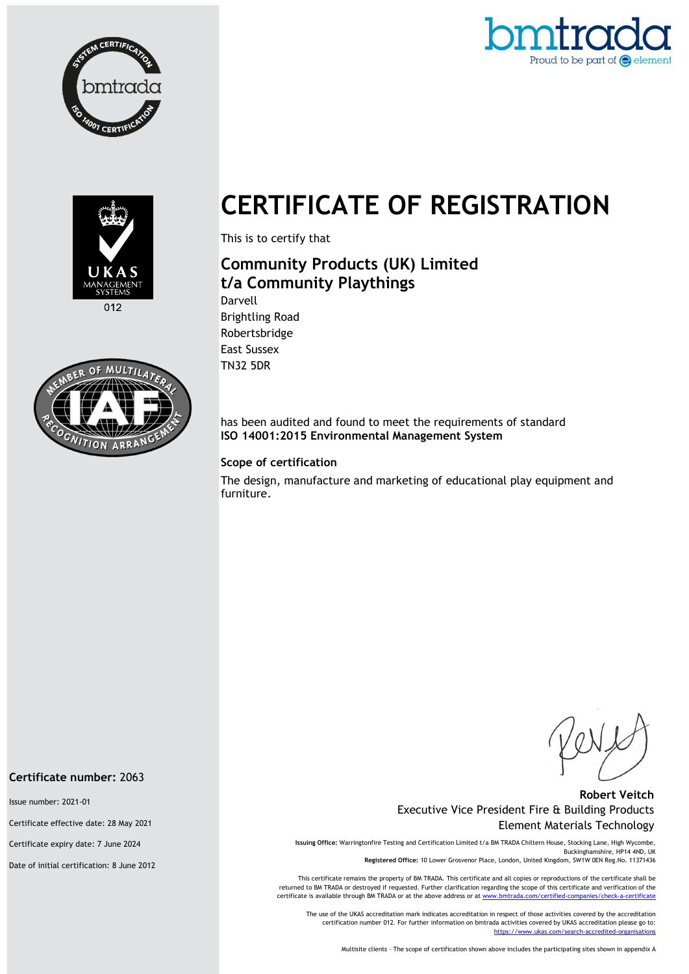





 $012$ 



# CERTIFICATE OF REGISTRATION

This is to certify that

## Community Products (UK) Limited t/a Community Playthings

Darvell Brightling Road Robertsbridge East Sussex TN32 5DR

has been audited and found to meet the requirements of standard ISO 14001:2015 Environmental Management System

#### Scope of certification

The design, manufacture and marketing of educational play equipment and furniture.

#### Robert Veitch Executive Vice President Fire & Building Products Element Materials Technology

Issuing Office: Warringtonfire Testing and Certification Limited t/a BM TRADA Chiltern House, Stocking Lane, High Wycombe, Buckinghamshire, HP14 4ND, UK Registered Office: 10 Lower Grosvenor Place, London, United Kingdom, SW1W 0EN Reg.No. 11371436

This certificate remains the property of BM TRADA. This certificate and all copies or reproductions of the certificate shall be returned to BM TRADA or destroyed if requested. Further clarification regarding the scope of this certificate and verification of the certificate is available through BM TRADA or at the above address or at ww

The use of the UKAS accreditation mark indicates accreditation in respect of those activities covered by the accreditation certification number 012. For further information on bmtrada activities covered by UKAS accreditation please go to: https://www.ukas.com/search-accredited-organi

Multisite clients – The scope of certification shown above includes the participating sites shown in appendix A

#### Certificate number: 2063

Issue number: 2021-01

Certificate effective date: 28 May 2021

Certificate expiry date: 7 June 2024

Date of initial certification: 8 June 2012